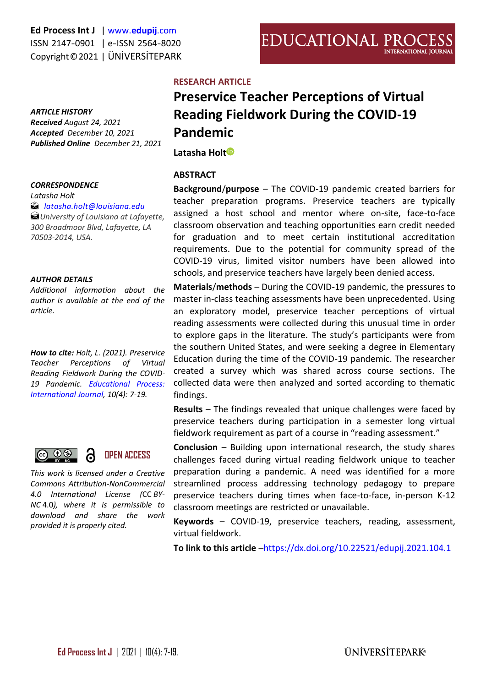#### *ARTICLE HISTORY*

*Received August 24, 2021 Accepted December 10, 2021 Published Online December 21, 2021* 

#### *CORRESPONDENCE*

*Latasha Holt*

#### *[latasha.holt@louisiana.edu](mailto:latasha.holt@louisiana.edu)*

*University of Louisiana at Lafayette, 300 Broadmoor Blvd, Lafayette, LA 70503-2014, USA.*

#### *AUTHOR DETAILS*

*Additional information about the author is available at the end of the article.*

*How to cite: Holt, L. (2021). Preservice Teacher Perceptions of Virtual Reading Fieldwork During the COVID-19 Pandemic. [Educational Process:](http://edupij.com/)  [International Journal,](http://edupij.com/) 10(4): 7-19.*



*This work is licensed under a Creative Commons Attribution-NonCommercial 4.0 International License (*CC *BY-NC* 4.0*), where it is permissible to download and share the work provided it is properly cited.*

#### **RESEARCH ARTICLE**

# **Preservice Teacher Perceptions of Virtual Reading Fieldwork During the COVID-19 Pandemic**

**Latasha Hol[t](https://orcid.org/0000-0002-0922-1083)**

#### **ABSTRACT**

**Background**/**purpose** – The COVID-19 pandemic created barriers for teacher preparation programs. Preservice teachers are typically assigned a host school and mentor where on-site, face-to-face classroom observation and teaching opportunities earn credit needed for graduation and to meet certain institutional accreditation requirements. Due to the potential for community spread of the COVID-19 virus, limited visitor numbers have been allowed into schools, and preservice teachers have largely been denied access.

**Materials**/**methods** – During the COVID-19 pandemic, the pressures to master in-class teaching assessments have been unprecedented. Using an exploratory model, preservice teacher perceptions of virtual reading assessments were collected during this unusual time in order to explore gaps in the literature. The study's participants were from the southern United States, and were seeking a degree in Elementary Education during the time of the COVID-19 pandemic. The researcher created a survey which was shared across course sections. The collected data were then analyzed and sorted according to thematic findings.

**Results** – The findings revealed that unique challenges were faced by preservice teachers during participation in a semester long virtual fieldwork requirement as part of a course in "reading assessment."

**Conclusion** – Building upon international research, the study shares challenges faced during virtual reading fieldwork unique to teacher preparation during a pandemic. A need was identified for a more streamlined process addressing technology pedagogy to prepare preservice teachers during times when face-to-face, in-person K-12 classroom meetings are restricted or unavailable.

**Keywords** – COVID-19, preservice teachers, reading, assessment, virtual fieldwork.

**To link to this article** –<https://dx.doi.org/10.22521/edupij.2021.104.1>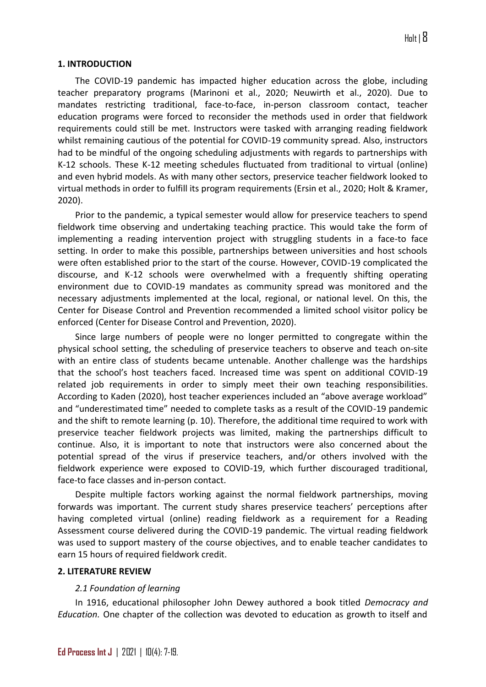## **1. INTRODUCTION**

The COVID-19 pandemic has impacted higher education across the globe, including teacher preparatory programs (Marinoni et al., 2020; Neuwirth et al., 2020). Due to mandates restricting traditional, face-to-face, in-person classroom contact, teacher education programs were forced to reconsider the methods used in order that fieldwork requirements could still be met. Instructors were tasked with arranging reading fieldwork whilst remaining cautious of the potential for COVID-19 community spread. Also, instructors had to be mindful of the ongoing scheduling adjustments with regards to partnerships with K-12 schools. These K-12 meeting schedules fluctuated from traditional to virtual (online) and even hybrid models. As with many other sectors, preservice teacher fieldwork looked to virtual methods in order to fulfill its program requirements (Ersin et al., 2020; Holt & Kramer, 2020).

Prior to the pandemic, a typical semester would allow for preservice teachers to spend fieldwork time observing and undertaking teaching practice. This would take the form of implementing a reading intervention project with struggling students in a face-to face setting. In order to make this possible, partnerships between universities and host schools were often established prior to the start of the course. However, COVID-19 complicated the discourse, and K-12 schools were overwhelmed with a frequently shifting operating environment due to COVID-19 mandates as community spread was monitored and the necessary adjustments implemented at the local, regional, or national level. On this, the Center for Disease Control and Prevention recommended a limited school visitor policy be enforced (Center for Disease Control and Prevention, 2020).

Since large numbers of people were no longer permitted to congregate within the physical school setting, the scheduling of preservice teachers to observe and teach on-site with an entire class of students became untenable. Another challenge was the hardships that the school's host teachers faced. Increased time was spent on additional COVID-19 related job requirements in order to simply meet their own teaching responsibilities. According to Kaden (2020), host teacher experiences included an "above average workload" and "underestimated time" needed to complete tasks as a result of the COVID-19 pandemic and the shift to remote learning (p. 10). Therefore, the additional time required to work with preservice teacher fieldwork projects was limited, making the partnerships difficult to continue. Also, it is important to note that instructors were also concerned about the potential spread of the virus if preservice teachers, and/or others involved with the fieldwork experience were exposed to COVID-19, which further discouraged traditional, face-to face classes and in-person contact.

Despite multiple factors working against the normal fieldwork partnerships, moving forwards was important. The current study shares preservice teachers' perceptions after having completed virtual (online) reading fieldwork as a requirement for a Reading Assessment course delivered during the COVID-19 pandemic. The virtual reading fieldwork was used to support mastery of the course objectives, and to enable teacher candidates to earn 15 hours of required fieldwork credit.

#### **2. LITERATURE REVIEW**

## *2.1 Foundation of learning*

In 1916, educational philosopher John Dewey authored a book titled *Democracy and Education.* One chapter of the collection was devoted to education as growth to itself and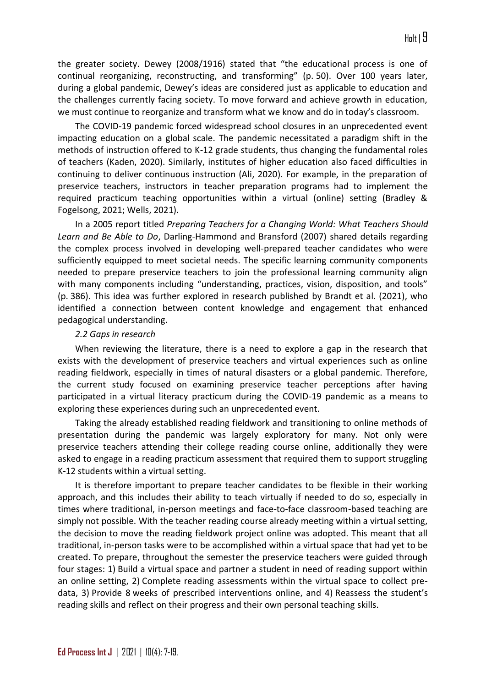the greater society. Dewey (2008/1916) stated that "the educational process is one of continual reorganizing, reconstructing, and transforming" (p. 50). Over 100 years later, during a global pandemic, Dewey's ideas are considered just as applicable to education and the challenges currently facing society. To move forward and achieve growth in education, we must continue to reorganize and transform what we know and do in today's classroom.

The COVID-19 pandemic forced widespread school closures in an unprecedented event impacting education on a global scale. The pandemic necessitated a paradigm shift in the methods of instruction offered to K-12 grade students, thus changing the fundamental roles of teachers (Kaden, 2020). Similarly, institutes of higher education also faced difficulties in continuing to deliver continuous instruction (Ali, 2020). For example, in the preparation of preservice teachers, instructors in teacher preparation programs had to implement the required practicum teaching opportunities within a virtual (online) setting (Bradley & Fogelsong, 2021; Wells, 2021).

In a 2005 report titled *Preparing Teachers for a Changing World: What Teachers Should Learn and Be Able to Do*, Darling-Hammond and Bransford (2007) shared details regarding the complex process involved in developing well-prepared teacher candidates who were sufficiently equipped to meet societal needs. The specific learning community components needed to prepare preservice teachers to join the professional learning community align with many components including "understanding, practices, vision, disposition, and tools" (p. 386). This idea was further explored in research published by Brandt et al. (2021), who identified a connection between content knowledge and engagement that enhanced pedagogical understanding.

#### *2.2 Gaps in research*

When reviewing the literature, there is a need to explore a gap in the research that exists with the development of preservice teachers and virtual experiences such as online reading fieldwork, especially in times of natural disasters or a global pandemic. Therefore, the current study focused on examining preservice teacher perceptions after having participated in a virtual literacy practicum during the COVID-19 pandemic as a means to exploring these experiences during such an unprecedented event.

Taking the already established reading fieldwork and transitioning to online methods of presentation during the pandemic was largely exploratory for many. Not only were preservice teachers attending their college reading course online, additionally they were asked to engage in a reading practicum assessment that required them to support struggling K-12 students within a virtual setting.

It is therefore important to prepare teacher candidates to be flexible in their working approach, and this includes their ability to teach virtually if needed to do so, especially in times where traditional, in-person meetings and face-to-face classroom-based teaching are simply not possible. With the teacher reading course already meeting within a virtual setting, the decision to move the reading fieldwork project online was adopted. This meant that all traditional, in-person tasks were to be accomplished within a virtual space that had yet to be created. To prepare, throughout the semester the preservice teachers were guided through four stages: 1) Build a virtual space and partner a student in need of reading support within an online setting, 2) Complete reading assessments within the virtual space to collect predata, 3) Provide 8 weeks of prescribed interventions online, and 4) Reassess the student's reading skills and reflect on their progress and their own personal teaching skills.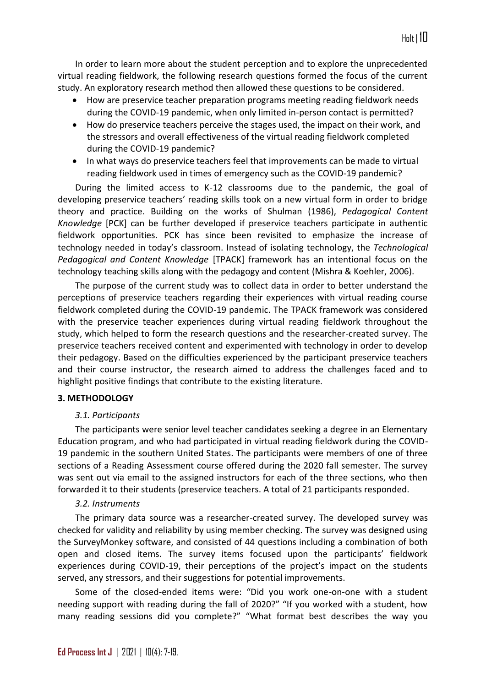In order to learn more about the student perception and to explore the unprecedented virtual reading fieldwork, the following research questions formed the focus of the current study. An exploratory research method then allowed these questions to be considered.

- How are preservice teacher preparation programs meeting reading fieldwork needs during the COVID-19 pandemic, when only limited in-person contact is permitted?
- How do preservice teachers perceive the stages used, the impact on their work, and the stressors and overall effectiveness of the virtual reading fieldwork completed during the COVID-19 pandemic?
- In what ways do preservice teachers feel that improvements can be made to virtual reading fieldwork used in times of emergency such as the COVID-19 pandemic?

During the limited access to K-12 classrooms due to the pandemic, the goal of developing preservice teachers' reading skills took on a new virtual form in order to bridge theory and practice. Building on the works of Shulman (1986), *Pedagogical Content Knowledge* [PCK] can be further developed if preservice teachers participate in authentic fieldwork opportunities. PCK has since been revisited to emphasize the increase of technology needed in today's classroom. Instead of isolating technology, the *Technological Pedagogical and Content Knowledge* [TPACK] framework has an intentional focus on the technology teaching skills along with the pedagogy and content (Mishra & Koehler, 2006).

The purpose of the current study was to collect data in order to better understand the perceptions of preservice teachers regarding their experiences with virtual reading course fieldwork completed during the COVID-19 pandemic. The TPACK framework was considered with the preservice teacher experiences during virtual reading fieldwork throughout the study, which helped to form the research questions and the researcher-created survey. The preservice teachers received content and experimented with technology in order to develop their pedagogy. Based on the difficulties experienced by the participant preservice teachers and their course instructor, the research aimed to address the challenges faced and to highlight positive findings that contribute to the existing literature.

## **3. METHODOLOGY**

#### *3.1. Participants*

The participants were senior level teacher candidates seeking a degree in an Elementary Education program, and who had participated in virtual reading fieldwork during the COVID-19 pandemic in the southern United States. The participants were members of one of three sections of a Reading Assessment course offered during the 2020 fall semester. The survey was sent out via email to the assigned instructors for each of the three sections, who then forwarded it to their students (preservice teachers. A total of 21 participants responded.

#### *3.2. Instruments*

The primary data source was a researcher-created survey. The developed survey was checked for validity and reliability by using member checking. The survey was designed using the SurveyMonkey software, and consisted of 44 questions including a combination of both open and closed items. The survey items focused upon the participants' fieldwork experiences during COVID-19, their perceptions of the project's impact on the students served, any stressors, and their suggestions for potential improvements.

Some of the closed-ended items were: "Did you work one-on-one with a student needing support with reading during the fall of 2020?" "If you worked with a student, how many reading sessions did you complete?" "What format best describes the way you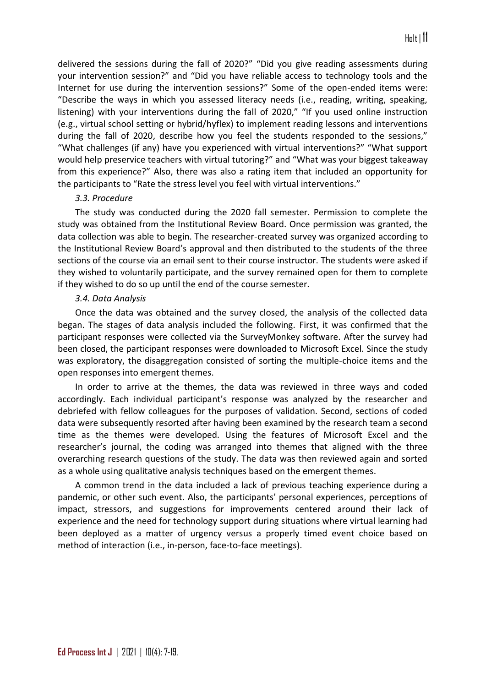delivered the sessions during the fall of 2020?" "Did you give reading assessments during your intervention session?" and "Did you have reliable access to technology tools and the Internet for use during the intervention sessions?" Some of the open-ended items were: "Describe the ways in which you assessed literacy needs (i.e., reading, writing, speaking, listening) with your interventions during the fall of 2020," "If you used online instruction (e.g., virtual school setting or hybrid/hyflex) to implement reading lessons and interventions during the fall of 2020, describe how you feel the students responded to the sessions," "What challenges (if any) have you experienced with virtual interventions?" "What support would help preservice teachers with virtual tutoring?" and "What was your biggest takeaway from this experience?" Also, there was also a rating item that included an opportunity for the participants to "Rate the stress level you feel with virtual interventions."

#### *3.3. Procedure*

The study was conducted during the 2020 fall semester. Permission to complete the study was obtained from the Institutional Review Board. Once permission was granted, the data collection was able to begin. The researcher-created survey was organized according to the Institutional Review Board's approval and then distributed to the students of the three sections of the course via an email sent to their course instructor. The students were asked if they wished to voluntarily participate, and the survey remained open for them to complete if they wished to do so up until the end of the course semester.

## *3.4. Data Analysis*

Once the data was obtained and the survey closed, the analysis of the collected data began. The stages of data analysis included the following. First, it was confirmed that the participant responses were collected via the SurveyMonkey software. After the survey had been closed, the participant responses were downloaded to Microsoft Excel. Since the study was exploratory, the disaggregation consisted of sorting the multiple-choice items and the open responses into emergent themes.

In order to arrive at the themes, the data was reviewed in three ways and coded accordingly. Each individual participant's response was analyzed by the researcher and debriefed with fellow colleagues for the purposes of validation. Second, sections of coded data were subsequently resorted after having been examined by the research team a second time as the themes were developed. Using the features of Microsoft Excel and the researcher's journal, the coding was arranged into themes that aligned with the three overarching research questions of the study. The data was then reviewed again and sorted as a whole using qualitative analysis techniques based on the emergent themes.

A common trend in the data included a lack of previous teaching experience during a pandemic, or other such event. Also, the participants' personal experiences, perceptions of impact, stressors, and suggestions for improvements centered around their lack of experience and the need for technology support during situations where virtual learning had been deployed as a matter of urgency versus a properly timed event choice based on method of interaction (i.e., in-person, face-to-face meetings).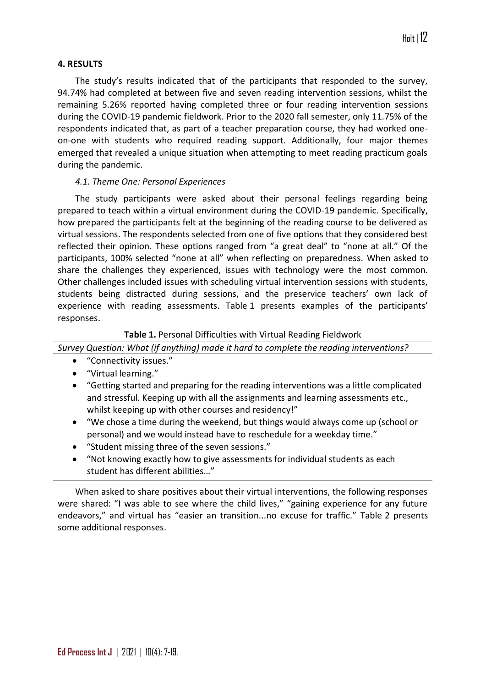## **4. RESULTS**

The study's results indicated that of the participants that responded to the survey, 94.74% had completed at between five and seven reading intervention sessions, whilst the remaining 5.26% reported having completed three or four reading intervention sessions during the COVID-19 pandemic fieldwork. Prior to the 2020 fall semester, only 11.75% of the respondents indicated that, as part of a teacher preparation course, they had worked oneon-one with students who required reading support. Additionally, four major themes emerged that revealed a unique situation when attempting to meet reading practicum goals during the pandemic.

# *4.1. Theme One: Personal Experiences*

The study participants were asked about their personal feelings regarding being prepared to teach within a virtual environment during the COVID-19 pandemic. Specifically, how prepared the participants felt at the beginning of the reading course to be delivered as virtual sessions. The respondents selected from one of five options that they considered best reflected their opinion. These options ranged from "a great deal" to "none at all." Of the participants, 100% selected "none at all" when reflecting on preparedness. When asked to share the challenges they experienced, issues with technology were the most common. Other challenges included issues with scheduling virtual intervention sessions with students, students being distracted during sessions, and the preservice teachers' own lack of experience with reading assessments. Table 1 presents examples of the participants' responses.

# **Table 1.** Personal Difficulties with Virtual Reading Fieldwork

*Survey Question: What (if anything) made it hard to complete the reading interventions?*

- "Connectivity issues."
- "Virtual learning."
- "Getting started and preparing for the reading interventions was a little complicated and stressful. Keeping up with all the assignments and learning assessments etc., whilst keeping up with other courses and residency!"
- "We chose a time during the weekend, but things would always come up (school or personal) and we would instead have to reschedule for a weekday time."
- "Student missing three of the seven sessions."
- "Not knowing exactly how to give assessments for individual students as each student has different abilities…"

When asked to share positives about their virtual interventions, the following responses were shared: "I was able to see where the child lives," "gaining experience for any future endeavors," and virtual has "easier an transition...no excuse for traffic." Table 2 presents some additional responses.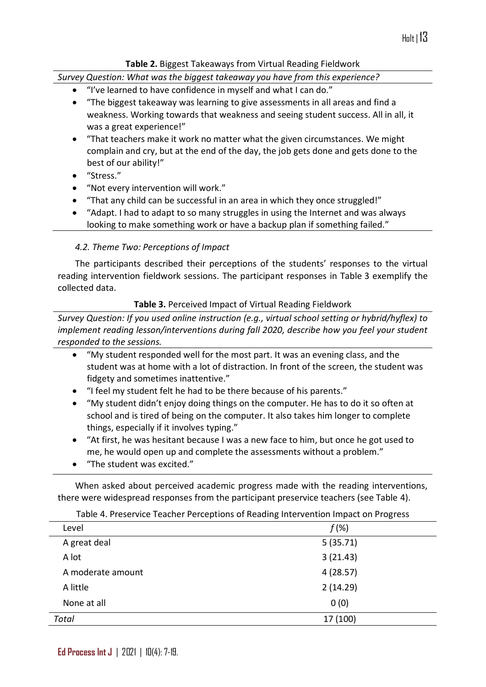# **Table 2.** Biggest Takeaways from Virtual Reading Fieldwork

*Survey Question: What was the biggest takeaway you have from this experience?*

- "I've learned to have confidence in myself and what I can do."
- "The biggest takeaway was learning to give assessments in all areas and find a weakness. Working towards that weakness and seeing student success. All in all, it was a great experience!"
- "That teachers make it work no matter what the given circumstances. We might complain and cry, but at the end of the day, the job gets done and gets done to the best of our ability!"
- "Stress."
- "Not every intervention will work."
- "That any child can be successful in an area in which they once struggled!"
- "Adapt. I had to adapt to so many struggles in using the Internet and was always looking to make something work or have a backup plan if something failed."

# *4.2. Theme Two: Perceptions of Impact*

The participants described their perceptions of the students' responses to the virtual reading intervention fieldwork sessions. The participant responses in Table 3 exemplify the collected data.

# **Table 3.** Perceived Impact of Virtual Reading Fieldwork

*Survey Question: If you used online instruction (e.g., virtual school setting or hybrid/hyflex) to implement reading lesson/interventions during fall 2020, describe how you feel your student responded to the sessions.*

- "My student responded well for the most part. It was an evening class, and the student was at home with a lot of distraction. In front of the screen, the student was fidgety and sometimes inattentive."
- "I feel my student felt he had to be there because of his parents."
- "My student didn't enjoy doing things on the computer. He has to do it so often at school and is tired of being on the computer. It also takes him longer to complete things, especially if it involves typing."
- "At first, he was hesitant because I was a new face to him, but once he got used to me, he would open up and complete the assessments without a problem."
- "The student was excited."

When asked about perceived academic progress made with the reading interventions, there were widespread responses from the participant preservice teachers (see Table 4).

| Level             | $f(\%)$  |
|-------------------|----------|
| A great deal      | 5(35.71) |
| A lot             | 3(21.43) |
| A moderate amount | 4(28.57) |
| A little          | 2(14.29) |
| None at all       | 0(0)     |
| <b>Total</b>      | 17 (100) |

Table 4. Preservice Teacher Perceptions of Reading Intervention Impact on Progress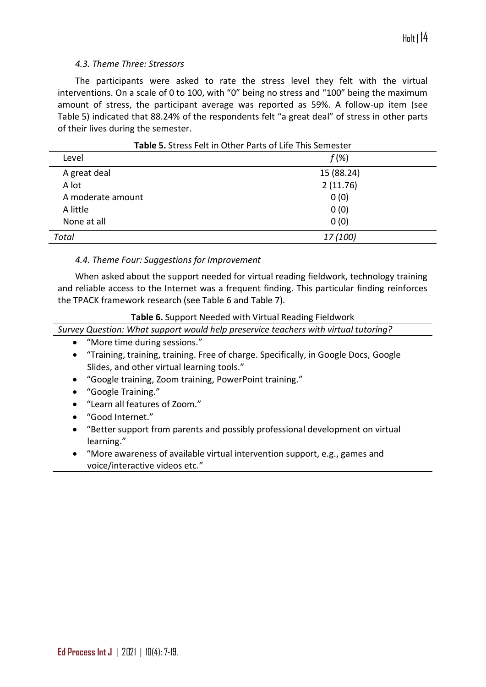## *4.3. Theme Three: Stressors*

The participants were asked to rate the stress level they felt with the virtual interventions. On a scale of 0 to 100, with "0" being no stress and "100" being the maximum amount of stress, the participant average was reported as 59%. A follow-up item (see Table 5) indicated that 88.24% of the respondents felt "a great deal" of stress in other parts of their lives during the semester.

| <b>TUNIC SI</b> SU COS I CIL III OUICI T UI LO OI LIIC TIIIS SCIIICSLOI |            |
|-------------------------------------------------------------------------|------------|
| Level                                                                   | $f(\%)$    |
| A great deal                                                            | 15 (88.24) |
| A lot                                                                   | 2(11.76)   |
| A moderate amount                                                       | 0(0)       |
| A little                                                                | 0(0)       |
| None at all                                                             | 0(0)       |
| Total                                                                   | 17 (100)   |

## **Table 5.** Stress Felt in Other Parts of Life This Semester

## *4.4. Theme Four: Suggestions for Improvement*

When asked about the support needed for virtual reading fieldwork, technology training and reliable access to the Internet was a frequent finding. This particular finding reinforces the TPACK framework research (see Table 6 and Table 7).

#### **Table 6.** Support Needed with Virtual Reading Fieldwork

*Survey Question: What support would help preservice teachers with virtual tutoring?*

- "More time during sessions."
- "Training, training, training. Free of charge. Specifically, in Google Docs, Google Slides, and other virtual learning tools."
- "Google training, Zoom training, PowerPoint training."
- "Google Training."
- "Learn all features of Zoom."
- "Good Internet."
- "Better support from parents and possibly professional development on virtual learning."
- "More awareness of available virtual intervention support, e.g., games and voice/interactive videos etc."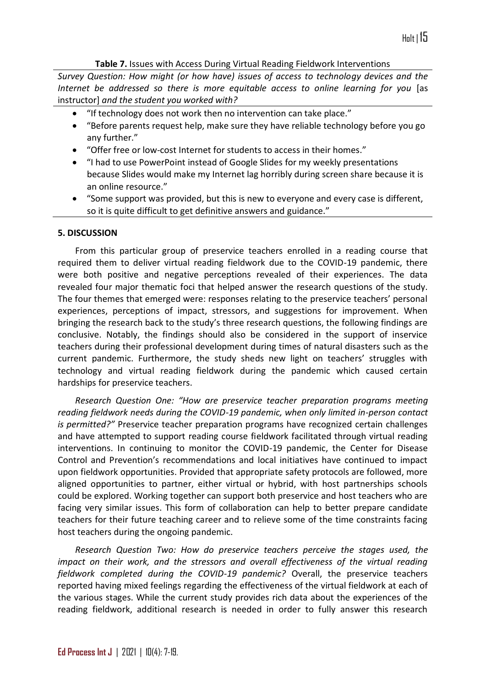**Table 7.** Issues with Access During Virtual Reading Fieldwork Interventions

*Survey Question: How might (or how have) issues of access to technology devices and the Internet be addressed so there is more equitable access to online learning for you* [as instructor] *and the student you worked with?*

- "If technology does not work then no intervention can take place."
- "Before parents request help, make sure they have reliable technology before you go any further."
- "Offer free or low-cost Internet for students to access in their homes."
- "I had to use PowerPoint instead of Google Slides for my weekly presentations because Slides would make my Internet lag horribly during screen share because it is an online resource."
- "Some support was provided, but this is new to everyone and every case is different, so it is quite difficult to get definitive answers and guidance."

## **5. DISCUSSION**

From this particular group of preservice teachers enrolled in a reading course that required them to deliver virtual reading fieldwork due to the COVID-19 pandemic, there were both positive and negative perceptions revealed of their experiences. The data revealed four major thematic foci that helped answer the research questions of the study. The four themes that emerged were: responses relating to the preservice teachers' personal experiences, perceptions of impact, stressors, and suggestions for improvement. When bringing the research back to the study's three research questions, the following findings are conclusive. Notably, the findings should also be considered in the support of inservice teachers during their professional development during times of natural disasters such as the current pandemic. Furthermore, the study sheds new light on teachers' struggles with technology and virtual reading fieldwork during the pandemic which caused certain hardships for preservice teachers.

*Research Question One: "How are preservice teacher preparation programs meeting reading fieldwork needs during the COVID-19 pandemic, when only limited in-person contact is permitted?"* Preservice teacher preparation programs have recognized certain challenges and have attempted to support reading course fieldwork facilitated through virtual reading interventions. In continuing to monitor the COVID-19 pandemic, the Center for Disease Control and Prevention's recommendations and local initiatives have continued to impact upon fieldwork opportunities. Provided that appropriate safety protocols are followed, more aligned opportunities to partner, either virtual or hybrid, with host partnerships schools could be explored. Working together can support both preservice and host teachers who are facing very similar issues. This form of collaboration can help to better prepare candidate teachers for their future teaching career and to relieve some of the time constraints facing host teachers during the ongoing pandemic.

*Research Question Two: How do preservice teachers perceive the stages used, the impact on their work, and the stressors and overall effectiveness of the virtual reading fieldwork completed during the COVID-19 pandemic?* Overall, the preservice teachers reported having mixed feelings regarding the effectiveness of the virtual fieldwork at each of the various stages. While the current study provides rich data about the experiences of the reading fieldwork, additional research is needed in order to fully answer this research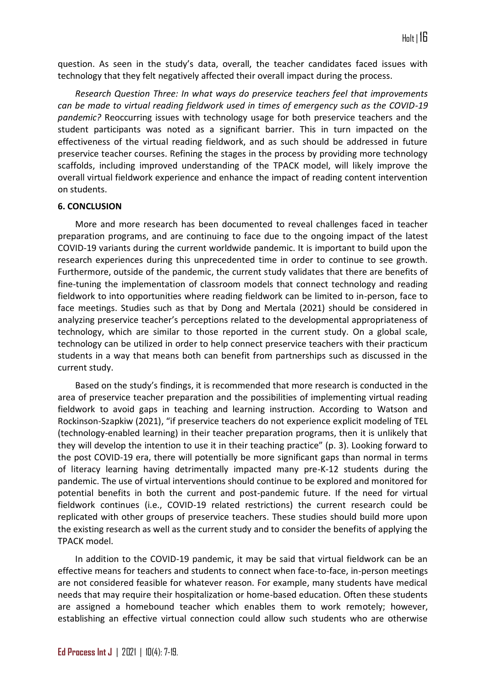question. As seen in the study's data, overall, the teacher candidates faced issues with technology that they felt negatively affected their overall impact during the process.

*Research Question Three: In what ways do preservice teachers feel that improvements can be made to virtual reading fieldwork used in times of emergency such as the COVID-19 pandemic?* Reoccurring issues with technology usage for both preservice teachers and the student participants was noted as a significant barrier. This in turn impacted on the effectiveness of the virtual reading fieldwork, and as such should be addressed in future preservice teacher courses. Refining the stages in the process by providing more technology scaffolds, including improved understanding of the TPACK model, will likely improve the overall virtual fieldwork experience and enhance the impact of reading content intervention on students.

## **6. CONCLUSION**

More and more research has been documented to reveal challenges faced in teacher preparation programs, and are continuing to face due to the ongoing impact of the latest COVID-19 variants during the current worldwide pandemic. It is important to build upon the research experiences during this unprecedented time in order to continue to see growth. Furthermore, outside of the pandemic, the current study validates that there are benefits of fine-tuning the implementation of classroom models that connect technology and reading fieldwork to into opportunities where reading fieldwork can be limited to in-person, face to face meetings. Studies such as that by Dong and Mertala (2021) should be considered in analyzing preservice teacher's perceptions related to the developmental appropriateness of technology, which are similar to those reported in the current study. On a global scale, technology can be utilized in order to help connect preservice teachers with their practicum students in a way that means both can benefit from partnerships such as discussed in the current study.

Based on the study's findings, it is recommended that more research is conducted in the area of preservice teacher preparation and the possibilities of implementing virtual reading fieldwork to avoid gaps in teaching and learning instruction. According to Watson and Rockinson-Szapkiw (2021), "if preservice teachers do not experience explicit modeling of TEL (technology-enabled learning) in their teacher preparation programs, then it is unlikely that they will develop the intention to use it in their teaching practice" (p. 3). Looking forward to the post COVID-19 era, there will potentially be more significant gaps than normal in terms of literacy learning having detrimentally impacted many pre-K-12 students during the pandemic. The use of virtual interventions should continue to be explored and monitored for potential benefits in both the current and post-pandemic future. If the need for virtual fieldwork continues (i.e., COVID-19 related restrictions) the current research could be replicated with other groups of preservice teachers. These studies should build more upon the existing research as well as the current study and to consider the benefits of applying the TPACK model.

In addition to the COVID-19 pandemic, it may be said that virtual fieldwork can be an effective means for teachers and students to connect when face-to-face, in-person meetings are not considered feasible for whatever reason. For example, many students have medical needs that may require their hospitalization or home-based education. Often these students are assigned a homebound teacher which enables them to work remotely; however, establishing an effective virtual connection could allow such students who are otherwise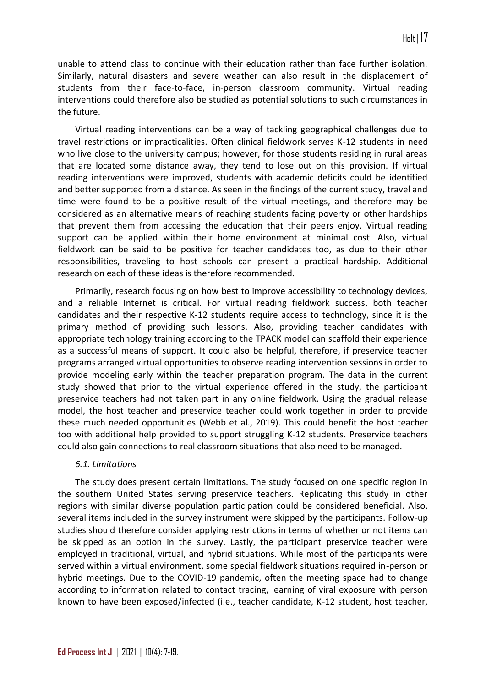unable to attend class to continue with their education rather than face further isolation. Similarly, natural disasters and severe weather can also result in the displacement of students from their face-to-face, in-person classroom community. Virtual reading interventions could therefore also be studied as potential solutions to such circumstances in the future.

Virtual reading interventions can be a way of tackling geographical challenges due to travel restrictions or impracticalities. Often clinical fieldwork serves K-12 students in need who live close to the university campus; however, for those students residing in rural areas that are located some distance away, they tend to lose out on this provision. If virtual reading interventions were improved, students with academic deficits could be identified and better supported from a distance. As seen in the findings of the current study, travel and time were found to be a positive result of the virtual meetings, and therefore may be considered as an alternative means of reaching students facing poverty or other hardships that prevent them from accessing the education that their peers enjoy. Virtual reading support can be applied within their home environment at minimal cost. Also, virtual fieldwork can be said to be positive for teacher candidates too, as due to their other responsibilities, traveling to host schools can present a practical hardship. Additional research on each of these ideas is therefore recommended.

Primarily, research focusing on how best to improve accessibility to technology devices, and a reliable Internet is critical. For virtual reading fieldwork success, both teacher candidates and their respective K-12 students require access to technology, since it is the primary method of providing such lessons. Also, providing teacher candidates with appropriate technology training according to the TPACK model can scaffold their experience as a successful means of support. It could also be helpful, therefore, if preservice teacher programs arranged virtual opportunities to observe reading intervention sessions in order to provide modeling early within the teacher preparation program. The data in the current study showed that prior to the virtual experience offered in the study, the participant preservice teachers had not taken part in any online fieldwork. Using the gradual release model, the host teacher and preservice teacher could work together in order to provide these much needed opportunities (Webb et al., 2019). This could benefit the host teacher too with additional help provided to support struggling K-12 students. Preservice teachers could also gain connections to real classroom situations that also need to be managed.

## *6.1. Limitations*

The study does present certain limitations. The study focused on one specific region in the southern United States serving preservice teachers. Replicating this study in other regions with similar diverse population participation could be considered beneficial. Also, several items included in the survey instrument were skipped by the participants. Follow-up studies should therefore consider applying restrictions in terms of whether or not items can be skipped as an option in the survey. Lastly, the participant preservice teacher were employed in traditional, virtual, and hybrid situations. While most of the participants were served within a virtual environment, some special fieldwork situations required in-person or hybrid meetings. Due to the COVID-19 pandemic, often the meeting space had to change according to information related to contact tracing, learning of viral exposure with person known to have been exposed/infected (i.e., teacher candidate, K-12 student, host teacher,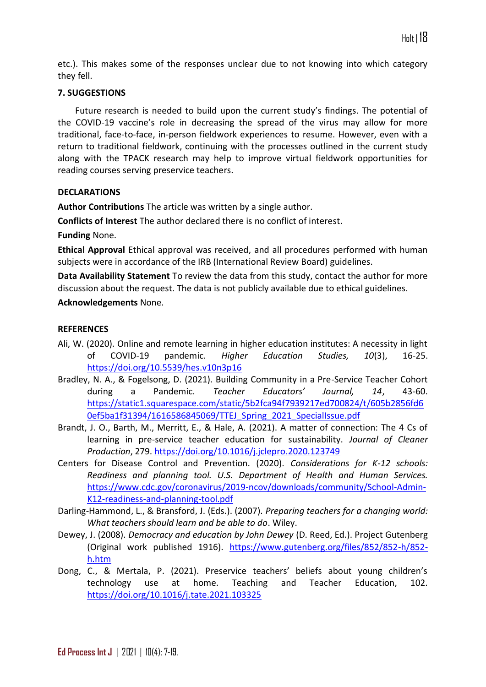etc.). This makes some of the responses unclear due to not knowing into which category they fell.

## **7. SUGGESTIONS**

Future research is needed to build upon the current study's findings. The potential of the COVID-19 vaccine's role in decreasing the spread of the virus may allow for more traditional, face-to-face, in-person fieldwork experiences to resume. However, even with a return to traditional fieldwork, continuing with the processes outlined in the current study along with the TPACK research may help to improve virtual fieldwork opportunities for reading courses serving preservice teachers.

## **DECLARATIONS**

**Author Contributions** The article was written by a single author.

**Conflicts of Interest** The author declared there is no conflict of interest.

**Funding** None.

**Ethical Approval** Ethical approval was received, and all procedures performed with human subjects were in accordance of the IRB (International Review Board) guidelines.

**Data Availability Statement** To review the data from this study, contact the author for more discussion about the request. The data is not publicly available due to ethical guidelines.

# **Acknowledgements** None.

## **REFERENCES**

- Ali, W. (2020). Online and remote learning in higher education institutes: A necessity in light of COVID-19 pandemic. *Higher Education Studies, 10*(3), 16-25. <https://doi.org/10.5539/hes.v10n3p16>
- Bradley, N. A., & Fogelsong, D. (2021). Building Community in a Pre-Service Teacher Cohort during a Pandemic. *Teacher Educators' Journal, 14*, 43-60. [https://static1.squarespace.com/static/5b2fca94f7939217ed700824/t/605b2856fd6](https://static1.squarespace.com/static/5b2fca94f7939217ed700824/t/605b2856fd60ef5ba1f31394/1616586845069/TTEJ_Spring_2021_SpecialIssue.pdf) [0ef5ba1f31394/1616586845069/TTEJ\\_Spring\\_2021\\_SpecialIssue.pdf](https://static1.squarespace.com/static/5b2fca94f7939217ed700824/t/605b2856fd60ef5ba1f31394/1616586845069/TTEJ_Spring_2021_SpecialIssue.pdf)
- Brandt, J. O., Barth, M., Merritt, E., & Hale, A. (2021). A matter of connection: The 4 Cs of learning in pre-service teacher education for sustainability. *Journal of Cleaner Production*, 279.<https://doi.org/10.1016/j.jclepro.2020.123749>
- Centers for Disease Control and Prevention. (2020). *Considerations for K-12 schools: Readiness and planning tool. U.S. Department of Health and Human Services.* [https://www.cdc.gov/coronavirus/2019-ncov/downloads/community/School-Admin-](https://www.cdc.gov/coronavirus/2019-ncov/downloads/community/School-Admin-K12-readiness-and-planning-tool.pdf)[K12-readiness-and-planning-tool.pdf](https://www.cdc.gov/coronavirus/2019-ncov/downloads/community/School-Admin-K12-readiness-and-planning-tool.pdf)
- Darling-Hammond, L., & Bransford, J. (Eds.). (2007). *Preparing teachers for a changing world: What teachers should learn and be able to do*. Wiley.
- Dewey, J. (2008). *Democracy and education by John Dewey* (D. Reed, Ed.). Project Gutenberg (Original work published 1916). [https://www.gutenberg.org/files/852/852-h/852](https://www.gutenberg.org/files/852/852-h/852-h.htm) [h.htm](https://www.gutenberg.org/files/852/852-h/852-h.htm)
- Dong, C., & Mertala, P. (2021). Preservice teachers' beliefs about young children's technology use at home. Teaching and Teacher Education, 102. <https://doi.org/10.1016/j.tate.2021.103325>